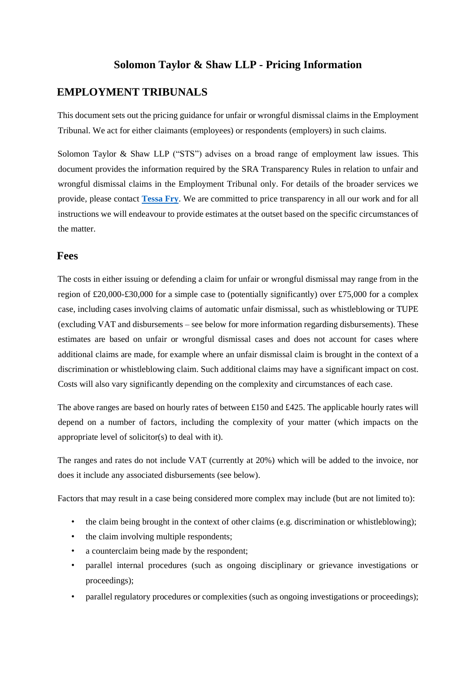### **Solomon Taylor & Shaw LLP - Pricing Information**

#### **EMPLOYMENT TRIBUNALS**

This document sets out the pricing guidance for unfair or wrongful dismissal claims in the Employment Tribunal. We act for either claimants (employees) or respondents (employers) in such claims.

Solomon Taylor & Shaw LLP ("STS") advises on a broad range of employment law issues. This document provides the information required by the SRA Transparency Rules in relation to unfair and wrongful dismissal claims in the Employment Tribunal only. For details of the broader services we provide, please contact **[Tessa Fry](https://solts.co.uk/people/tessa-fry/)**. We are committed to price transparency in all our work and for all instructions we will endeavour to provide estimates at the outset based on the specific circumstances of the matter.

#### **Fees**

The costs in either issuing or defending a claim for unfair or wrongful dismissal may range from in the region of £20,000-£30,000 for a simple case to (potentially significantly) over £75,000 for a complex case, including cases involving claims of automatic unfair dismissal, such as whistleblowing or TUPE (excluding VAT and disbursements – see below for more information regarding disbursements). These estimates are based on unfair or wrongful dismissal cases and does not account for cases where additional claims are made, for example where an unfair dismissal claim is brought in the context of a discrimination or whistleblowing claim. Such additional claims may have a significant impact on cost. Costs will also vary significantly depending on the complexity and circumstances of each case.

The above ranges are based on hourly rates of between £150 and £425. The applicable hourly rates will depend on a number of factors, including the complexity of your matter (which impacts on the appropriate level of solicitor(s) to deal with it).

The ranges and rates do not include VAT (currently at 20%) which will be added to the invoice, nor does it include any associated disbursements (see below).

Factors that may result in a case being considered more complex may include (but are not limited to):

- the claim being brought in the context of other claims (e.g. discrimination or whistleblowing);
- the claim involving multiple respondents;
- a counterclaim being made by the respondent;
- parallel internal procedures (such as ongoing disciplinary or grievance investigations or proceedings);
- parallel regulatory procedures or complexities (such as ongoing investigations or proceedings);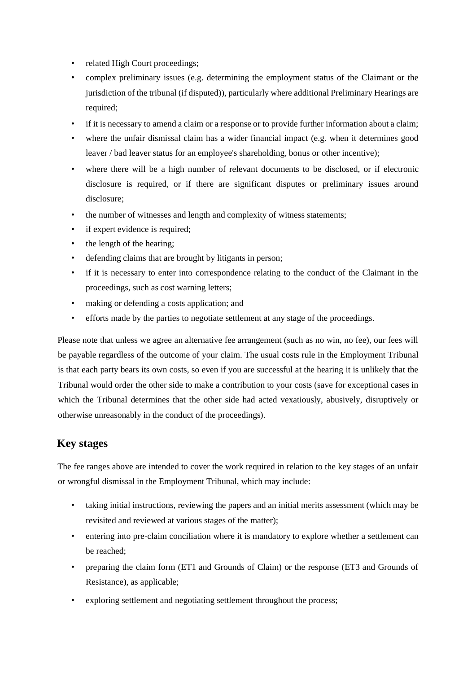- related High Court proceedings;
- complex preliminary issues (e.g. determining the employment status of the Claimant or the jurisdiction of the tribunal (if disputed)), particularly where additional Preliminary Hearings are required;
- if it is necessary to amend a claim or a response or to provide further information about a claim;
- where the unfair dismissal claim has a wider financial impact (e.g. when it determines good leaver / bad leaver status for an employee's shareholding, bonus or other incentive);
- where there will be a high number of relevant documents to be disclosed, or if electronic disclosure is required, or if there are significant disputes or preliminary issues around disclosure;
- the number of witnesses and length and complexity of witness statements;
- if expert evidence is required;
- the length of the hearing;
- defending claims that are brought by litigants in person;
- if it is necessary to enter into correspondence relating to the conduct of the Claimant in the proceedings, such as cost warning letters;
- making or defending a costs application; and
- efforts made by the parties to negotiate settlement at any stage of the proceedings.

Please note that unless we agree an alternative fee arrangement (such as no win, no fee), our fees will be payable regardless of the outcome of your claim. The usual costs rule in the Employment Tribunal is that each party bears its own costs, so even if you are successful at the hearing it is unlikely that the Tribunal would order the other side to make a contribution to your costs (save for exceptional cases in which the Tribunal determines that the other side had acted vexatiously, abusively, disruptively or otherwise unreasonably in the conduct of the proceedings).

# **Key stages**

The fee ranges above are intended to cover the work required in relation to the key stages of an unfair or wrongful dismissal in the Employment Tribunal, which may include:

- taking initial instructions, reviewing the papers and an initial merits assessment (which may be revisited and reviewed at various stages of the matter);
- entering into pre-claim conciliation where it is mandatory to explore whether a settlement can be reached;
- preparing the claim form (ET1 and Grounds of Claim) or the response (ET3 and Grounds of Resistance), as applicable;
- exploring settlement and negotiating settlement throughout the process;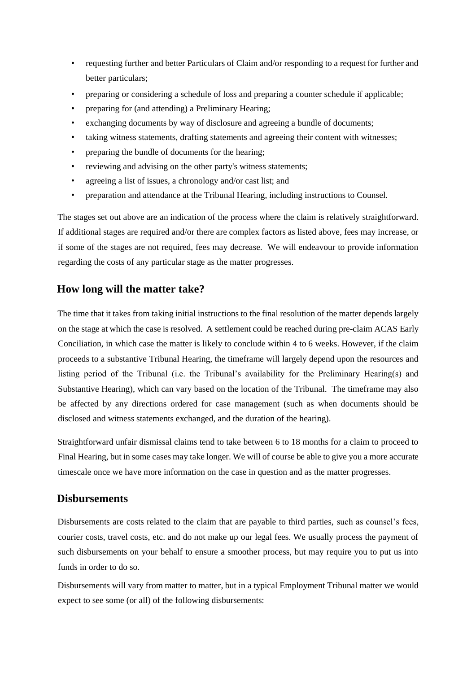- requesting further and better Particulars of Claim and/or responding to a request for further and better particulars;
- preparing or considering a schedule of loss and preparing a counter schedule if applicable;
- preparing for (and attending) a Preliminary Hearing;
- exchanging documents by way of disclosure and agreeing a bundle of documents;
- taking witness statements, drafting statements and agreeing their content with witnesses;
- preparing the bundle of documents for the hearing;
- reviewing and advising on the other party's witness statements;
- agreeing a list of issues, a chronology and/or cast list; and
- preparation and attendance at the Tribunal Hearing, including instructions to Counsel.

The stages set out above are an indication of the process where the claim is relatively straightforward. If additional stages are required and/or there are complex factors as listed above, fees may increase, or if some of the stages are not required, fees may decrease. We will endeavour to provide information regarding the costs of any particular stage as the matter progresses.

# **How long will the matter take?**

The time that it takes from taking initial instructions to the final resolution of the matter depends largely on the stage at which the case is resolved. A settlement could be reached during pre-claim ACAS Early Conciliation, in which case the matter is likely to conclude within 4 to 6 weeks. However, if the claim proceeds to a substantive Tribunal Hearing, the timeframe will largely depend upon the resources and listing period of the Tribunal (i.e. the Tribunal's availability for the Preliminary Hearing(s) and Substantive Hearing), which can vary based on the location of the Tribunal. The timeframe may also be affected by any directions ordered for case management (such as when documents should be disclosed and witness statements exchanged, and the duration of the hearing).

Straightforward unfair dismissal claims tend to take between 6 to 18 months for a claim to proceed to Final Hearing, but in some cases may take longer. We will of course be able to give you a more accurate timescale once we have more information on the case in question and as the matter progresses.

#### **Disbursements**

Disbursements are costs related to the claim that are payable to third parties, such as counsel's fees, courier costs, travel costs, etc. and do not make up our legal fees. We usually process the payment of such disbursements on your behalf to ensure a smoother process, but may require you to put us into funds in order to do so.

Disbursements will vary from matter to matter, but in a typical Employment Tribunal matter we would expect to see some (or all) of the following disbursements: